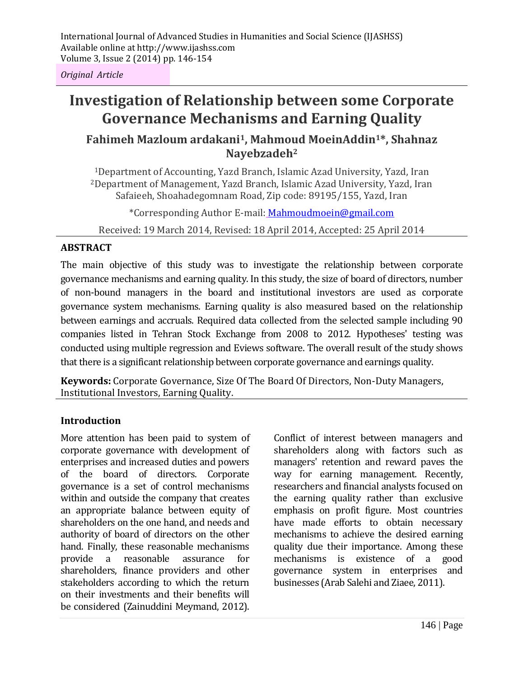*Original Article*

# **Investigation of Relationship between some Corporate Governance Mechanisms and Earning Quality**

# **Fahimeh Mazloum ardakani1, Mahmoud MoeinAddin1\*, Shahnaz Nayebzadeh<sup>2</sup>**

<sup>1</sup>Department of Accounting, Yazd Branch, Islamic Azad University, Yazd, Iran <sup>2</sup>Department of Management, Yazd Branch, Islamic Azad University, Yazd, Iran Safaieeh, Shoahadegomnam Road, Zip code: 89195/155, Yazd, Iran

\*Corresponding Author E-mail: Mahmoudmoein@gmail.com

Received: 19 March 2014, Revised: 18 April 2014, Accepted: 25 April 2014

#### **ABSTRACT**

The main objective of this study was to investigate the relationship between corporate governance mechanisms and earning quality. In this study, the size of board of directors, number of non-bound managers in the board and institutional investors are used as corporate governance system mechanisms. Earning quality is also measured based on the relationship between earnings and accruals. Required data collected from the selected sample including 90 companies listed in Tehran Stock Exchange from 2008 to 2012. Hypotheses' testing was conducted using multiple regression and Eviews software. The overall result of the study shows that there is a significant relationship between corporate governance and earnings quality.

**Keywords:** Corporate Governance, Size Of The Board Of Directors, Non-Duty Managers, Institutional Investors, Earning Quality.

#### **Introduction**

More attention has been paid to system of corporate governance with development of enterprises and increased duties and powers of the board of directors. Corporate governance is a set of control mechanisms within and outside the company that creates an appropriate balance between equity of shareholders on the one hand, and needs and authority of board of directors on the other hand. Finally, these reasonable mechanisms provide a reasonable assurance for shareholders, finance providers and other stakeholders according to which the return on their investments and their benefits will be considered (Zainuddini Meymand, 2012). Conflict of interest between managers and shareholders along with factors such as managers' retention and reward paves the way for earning management. Recently, researchers and financial analysts focused on the earning quality rather than exclusive emphasis on profit figure. Most countries have made efforts to obtain necessary mechanisms to achieve the desired earning quality due their importance. Among these mechanisms is existence of a good governance system in enterprises and businesses (Arab Salehi and Ziaee, 2011).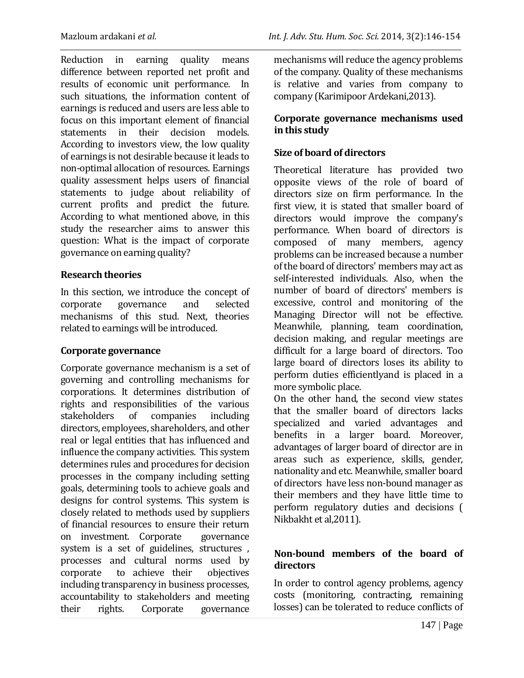Reduction in earning quality means difference between reported net profit and results of economic unit performance. In such situations, the information content of earnings is reduced and users are less able to focus on this important element of financial statements in their decision models. According to investors view, the low quality of earnings is not desirable because it leads to non-optimal allocation of resources. Earnings quality assessment helps users of financial statements to judge about reliability of current profits and predict the future. According to what mentioned above, in this study the researcher aims to answer this question: What is the impact of corporate governance on earning quality?

#### **Research theories**

In this section, we introduce the concept of corporate governance and selected mechanisms of this stud. Next, theories related to earnings will be introduced.

#### **Corporate governance**

Corporate governance mechanism is a set of governing and controlling mechanisms for corporations. It determines distribution of rights and responsibilities of the various stakeholders of companies including directors, employees, shareholders, and other real or legal entities that has influenced and influence the company activities. This system determines rules and procedures for decision processes in the company including setting goals, determining tools to achieve goals and designs for control systems. This system is closely related to methods used by suppliers of financial resources to ensure their return on investment. Corporate governance system is a set of guidelines, structures , processes and cultural norms used by corporate to achieve their objectives including transparency in business processes, accountability to stakeholders and meeting their rights. Corporate governance

mechanisms will reduce the agency problems of the company. Quality of these mechanisms is relative and varies from company to company (Karimipoor Ardekani,2013).

#### **Corporate governance mechanisms used in this study**

# **Size of board of directors**

Theoretical literature has provided two opposite views of the role of board of directors size on firm performance. In the first view, it is stated that smaller board of directors would improve the company's performance. When board of directors is composed of many members, agency problems can be increased because a number of the board of directors' members may act as self-interested individuals. Also, when the number of board of directors' members is excessive, control and monitoring of the Managing Director will not be effective. Meanwhile, planning, team coordination, decision making, and regular meetings are difficult for a large board of directors. Too large board of directors loses its ability to perform duties efficientlyand is placed in a more symbolic place.

On the other hand, the second view states that the smaller board of directors lacks specialized and varied advantages and benefits in a larger board. Moreover, advantages of larger board of director are in areas such as experience, skills, gender, nationality and etc. Meanwhile, smaller board of directors have less non-bound manager as their members and they have little time to perform regulatory duties and decisions ( Nikbakht et al,2011).

## **Non-bound members of the board of directors**

In order to control agency problems, agency costs (monitoring, contracting, remaining losses) can be tolerated to reduce conflicts of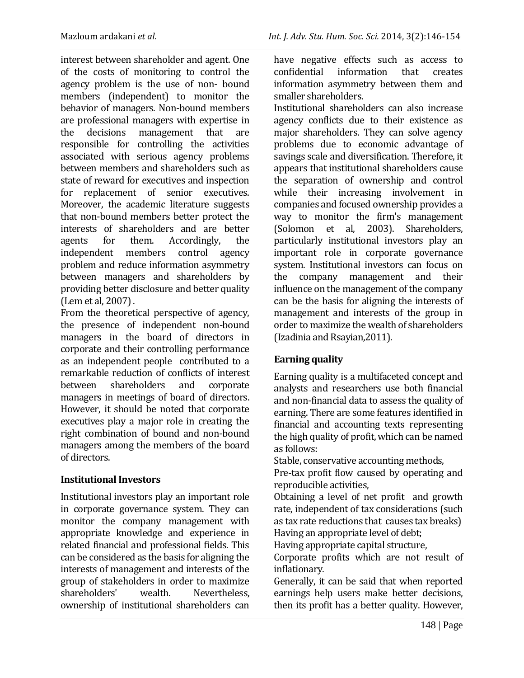interest between shareholder and agent. One of the costs of monitoring to control the agency problem is the use of non- bound members (independent) to monitor the behavior of managers. Non-bound members are professional managers with expertise in the decisions management that are responsible for controlling the activities associated with serious agency problems between members and shareholders such as state of reward for executives and inspection for replacement of senior executives. Moreover, the academic literature suggests that non-bound members better protect the interests of shareholders and are better agents for them. Accordingly, the independent members control agency problem and reduce information asymmetry between managers and shareholders by providing better disclosure and better quality (Lem et al, 2007) .

From the theoretical perspective of agency, the presence of independent non-bound managers in the board of directors in corporate and their controlling performance as an independent people contributed to a remarkable reduction of conflicts of interest between shareholders and corporate managers in meetings of board of directors. However, it should be noted that corporate executives play a major role in creating the right combination of bound and non-bound managers among the members of the board of directors.

## **Institutional Investors**

Institutional investors play an important role in corporate governance system. They can monitor the company management with appropriate knowledge and experience in related financial and professional fields. This can be considered as the basis for aligning the interests of management and interests of the group of stakeholders in order to maximize shareholders' wealth. Nevertheless, ownership of institutional shareholders can have negative effects such as access to confidential information that creates information asymmetry between them and smaller shareholders.

Institutional shareholders can also increase agency conflicts due to their existence as major shareholders. They can solve agency problems due to economic advantage of savings scale and diversification. Therefore, it appears that institutional shareholders cause the separation of ownership and control while their increasing involvement in companies and focused ownership provides a way to monitor the firm's management (Solomon et al, 2003). Shareholders, particularly institutional investors play an important role in corporate governance system. Institutional investors can focus on the company management and their influence on the management of the company can be the basis for aligning the interests of management and interests of the group in order to maximize the wealth of shareholders (Izadinia and Rsayian,2011).

# **Earning quality**

Earning quality is a multifaceted concept and analysts and researchers use both financial and non-financial data to assess the quality of earning. There are some features identified in financial and accounting texts representing the high quality of profit, which can be named as follows:

Stable, conservative accounting methods,

Pre-tax profit flow caused by operating and reproducible activities,

Obtaining a level of net profit and growth rate, independent of tax considerations (such as tax rate reductions that causes tax breaks) Having an appropriate level of debt;

Having appropriate capital structure,

Corporate profits which are not result of inflationary.

Generally, it can be said that when reported earnings help users make better decisions, then its profit has a better quality. However,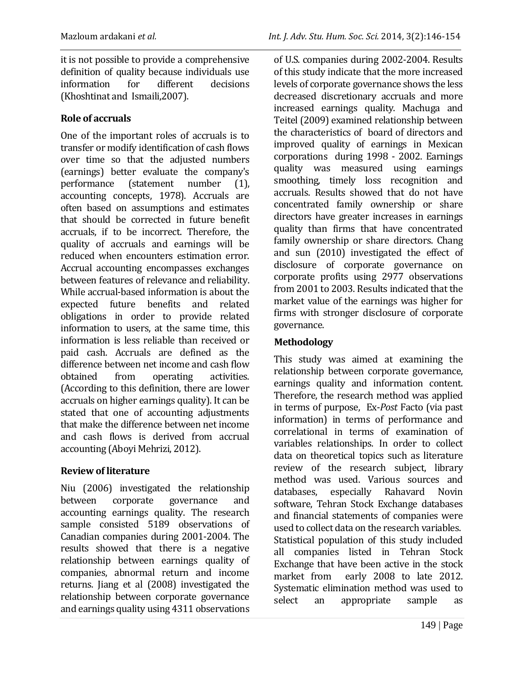(Khoshtinat and Ismaili,2007).

# **Role of accruals**

One of the important roles of accruals is to transfer or modify identification of cash flows over time so that the adjusted numbers (earnings) better evaluate the company's performance (statement number (1), accounting concepts, 1978). Accruals are often based on assumptions and estimates that should be corrected in future benefit accruals, if to be incorrect. Therefore, the quality of accruals and earnings will be reduced when encounters estimation error. Accrual accounting encompasses exchanges between features of relevance and reliability. While accrual-based information is about the expected future benefits and related obligations in order to provide related information to users, at the same time, this information is less reliable than received or paid cash. Accruals are defined as the difference between net income and cash flow obtained from operating activities. (According to this definition, there are lower accruals on higher earnings quality). It can be stated that one of accounting adjustments that make the difference between net income and cash flows is derived from accrual accounting (Aboyi Mehrizi, 2012).

# **Review of literature**

Niu (2006) investigated the relationship between corporate governance and accounting earnings quality. The research sample consisted 5189 observations of Canadian companies during 2001-2004. The results showed that there is a negative relationship between earnings quality of companies, abnormal return and income returns. Jiang et al (2008) investigated the relationship between corporate governance and earnings quality using 4311 observations of U.S. companies during 2002-2004. Results of this study indicate that the more increased levels of corporate governance shows the less decreased discretionary accruals and more increased earnings quality. Machuga and Teitel (2009) examined relationship between the characteristics of board of directors and improved quality of earnings in Mexican corporations during 1998 - 2002. Earnings quality was measured using earnings smoothing, timely loss recognition and accruals. Results showed that do not have concentrated family ownership or share directors have greater increases in earnings quality than firms that have concentrated family ownership or share directors. Chang and sun (2010) investigated the effect of disclosure of corporate governance on corporate profits using 2977 observations from 2001 to 2003. Results indicated that the market value of the earnings was higher for firms with stronger disclosure of corporate governance.

# **Methodology**

This study was aimed at examining the relationship between corporate governance, earnings quality and information content. Therefore, the research method was applied in terms of purpose, Ex-*Post* Facto (via past information) in terms of performance and correlational in terms of examination of variables relationships. In order to collect data on theoretical topics such as literature review of the research subject, library method was used. Various sources and databases, especially Rahavard Novin software, Tehran Stock Exchange databases and financial statements of companies were used to collect data on the research variables. Statistical population of this study included all companies listed in Tehran Stock Exchange that have been active in the stock market from early 2008 to late 2012. Systematic elimination method was used to select an appropriate sample as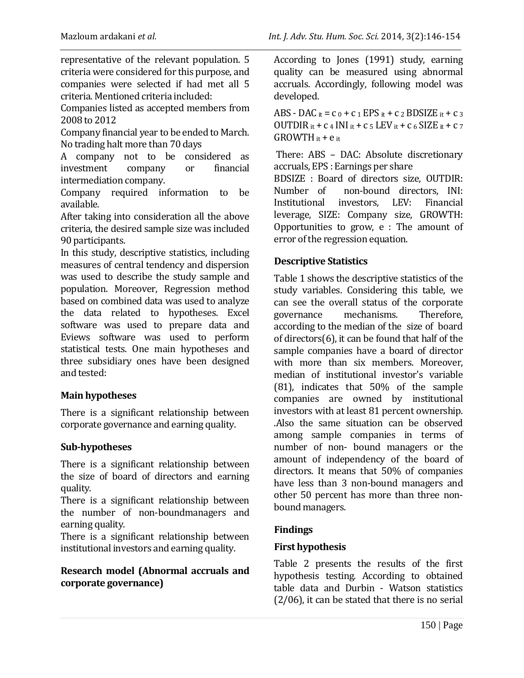representative of the relevant population. 5 criteria were considered for this purpose, and companies were selected if had met all 5 criteria. Mentioned criteria included:

Companies listed as accepted members from 2008 to 2012

Company financial year to be ended to March. No trading halt more than 70 days

A company not to be considered as investment company or financial intermediation company.

Company required information to be available.

After taking into consideration all the above criteria, the desired sample size was included 90 participants.

In this study, descriptive statistics, including measures of central tendency and dispersion was used to describe the study sample and population. Moreover, Regression method based on combined data was used to analyze the data related to hypotheses. Excel software was used to prepare data and Eviews software was used to perform statistical tests. One main hypotheses and three subsidiary ones have been designed and tested:

## **Main hypotheses**

There is a significant relationship between corporate governance and earning quality.

## **Sub-hypotheses**

There is a significant relationship between the size of board of directors and earning quality.

There is a significant relationship between the number of non-boundmanagers and earning quality.

There is a significant relationship between institutional investors and earning quality.

## **Research model (Abnormal accruals and corporate governance)**

According to Jones (1991) study, earning quality can be measured using abnormal accruals. Accordingly, following model was developed.

ABS - DAC it =  $c_0$  +  $c_1$  EPS it +  $c_2$  BDSIZE it +  $c_3$ OUTDIR it +  $c$  4 INI it +  $c$  5 LEV it +  $c$  6 SIZE it +  $c$  7 GROWTH  $it + e$  it

There: ABS – DAC: Absolute discretionary accruals, EPS : Earnings per share

BDSIZE : Board of directors size, OUTDIR: Number of non-bound directors, INI: Institutional investors, LEV: Financial leverage, SIZE: Company size, GROWTH: Opportunities to grow, e : The amount of error of the regression equation.

# **Descriptive Statistics**

Table 1 shows the descriptive statistics of the study variables. Considering this table, we can see the overall status of the corporate governance mechanisms. Therefore, according to the median of the size of board of directors(6), it can be found that half of the sample companies have a board of director with more than six members. Moreover, median of institutional investor's variable (81), indicates that 50% of the sample companies are owned by institutional investors with at least 81 percent ownership. .Also the same situation can be observed among sample companies in terms of number of non- bound managers or the amount of independency of the board of directors. It means that 50% of companies have less than 3 non-bound managers and other 50 percent has more than three nonbound managers.

# **Findings**

## **First hypothesis**

Table 2 presents the results of the first hypothesis testing. According to obtained table data and Durbin - Watson statistics (2/06), it can be stated that there is no serial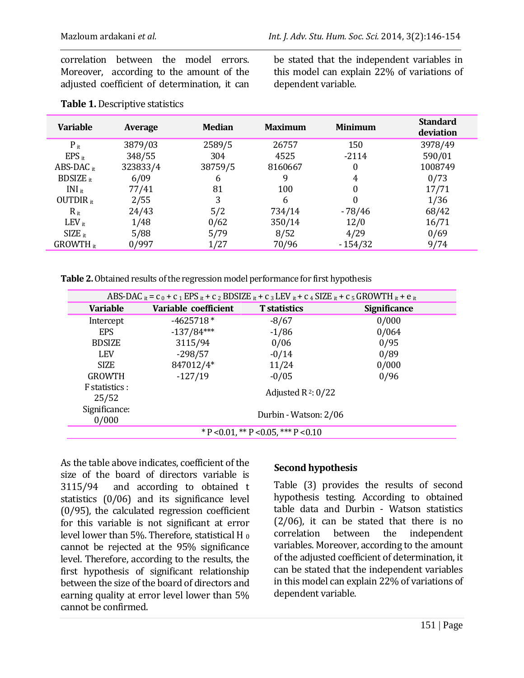correlation between the model errors. Moreover, according to the amount of the adjusted coefficient of determination, it can be stated that the independent variables in this model can explain 22% of variations of dependent variable.

| <b>Variable</b>      | <b>Average</b> | <b>Median</b> | <b>Maximum</b> | <b>Minimum</b> | <b>Standard</b><br>deviation |
|----------------------|----------------|---------------|----------------|----------------|------------------------------|
| $P_{it}$             | 3879/03        | 2589/5        | 26757          | 150            | 3978/49                      |
| $EPS_{it}$           | 348/55         | 304           | 4525           | $-2114$        | 590/01                       |
| ABS-DAC $_{it}$      | 323833/4       | 38759/5       | 8160667        | $\theta$       | 1008749                      |
| <b>BDSIZE</b> it     | 6/09           | 6             |                | 4              | 0/73                         |
| $INI_{it}$           | 77/41          | 81            | 100            | 0              | 17/71                        |
| OUTDIR $_{it}$       | 2/55           | 3             | 6              | 0              | 1/36                         |
| $R_{it}$             | 24/43          | 5/2           | 734/14         | $-78/46$       | 68/42                        |
| $LEV_{it}$           | 1/48           | 0/62          | 350/14         | 12/0           | 16/71                        |
| $SIZE$ <sub>it</sub> | 5/88           | 5/79          | 8/52           | 4/29           | 0/69                         |
| $GROWTH_{it}$        | 0/997          | 1/27          | 70/96          | $-154/32$      | 9/74                         |

#### **Table 1.** Descriptive statistics

**Table 2.** Obtained results of the regression model performance for first hypothesis

| ABS-DAC $i_t = c_0 + c_1 EPS$ $i_t + c_2 BDSIZE$ $i_t + c_3 LEV$ $i_t + c_4 SIZE$ $i_t + c_5 GROWTH$ $i_t + e_i$ |                       |                     |                     |  |
|------------------------------------------------------------------------------------------------------------------|-----------------------|---------------------|---------------------|--|
| <b>Variable</b>                                                                                                  | Variable coefficient  | <b>T</b> statistics | <b>Significance</b> |  |
| Intercept                                                                                                        | $-4625718*$           | $-8/67$             | 0/000               |  |
| <b>EPS</b>                                                                                                       | $-137/84***$          | $-1/86$             | 0/064               |  |
| <b>BDSIZE</b>                                                                                                    | 3115/94               | 0/06                | 0/95                |  |
| <b>LEV</b>                                                                                                       | $-298/57$             | $-0/14$             | 0/89                |  |
| <b>SIZE</b>                                                                                                      | 847012/4*             | 11/24               | 0/000               |  |
| <b>GROWTH</b>                                                                                                    | $-127/19$             | $-0/05$             | 0/96                |  |
| F statistics :<br>25/52                                                                                          | Adjusted $R^2: 0/22$  |                     |                     |  |
| Significance:<br>0/000                                                                                           | Durbin - Watson: 2/06 |                     |                     |  |
| $*$ P < 0.01, $*$ P < 0.05, $*$ + P < 0.10                                                                       |                       |                     |                     |  |

As the table above indicates, coefficient of the size of the board of directors variable is 3115/94 and according to obtained t statistics (0/06) and its significance level (0/95), the calculated regression coefficient for this variable is not significant at error level lower than 5%. Therefore, statistical H<sub>0</sub> cannot be rejected at the 95% significance level. Therefore, according to the results, the first hypothesis of significant relationship between the size of the board of directors and earning quality at error level lower than 5% cannot be confirmed.

## **Second hypothesis**

Table (3) provides the results of second hypothesis testing. According to obtained table data and Durbin - Watson statistics (2/06), it can be stated that there is no correlation between the independent variables. Moreover, according to the amount of the adjusted coefficient of determination, it can be stated that the independent variables in this model can explain  $22\%$  of variations of dependent variable.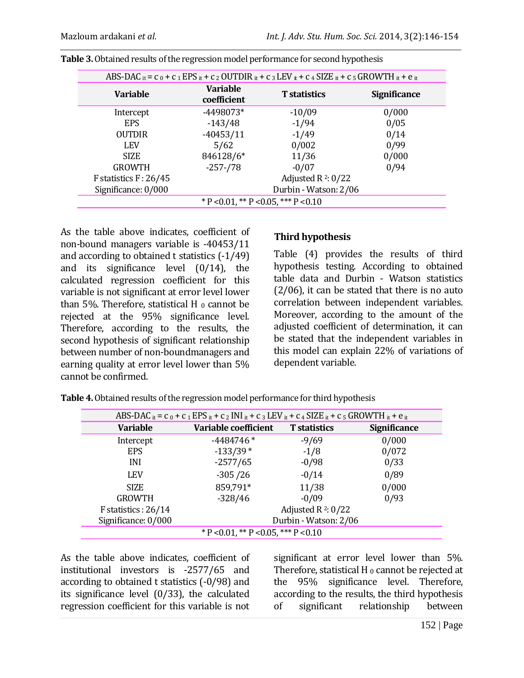| ABS-DAC $\kappa$ = c $_0$ + c $_1$ EPS $\kappa$ + c $_2$ OUTDIR $\kappa$ + c $_3$ LEV $\kappa$ + c $_4$ SIZE $\kappa$ + c $_5$ GROWTH $\kappa$ + e $\kappa$ |                                |                     |                     |  |  |
|-------------------------------------------------------------------------------------------------------------------------------------------------------------|--------------------------------|---------------------|---------------------|--|--|
| <b>Variable</b>                                                                                                                                             | <b>Variable</b><br>coefficient | <b>T</b> statistics | <b>Significance</b> |  |  |
| Intercept                                                                                                                                                   | $-4498073*$                    | $-10/09$            | 0/000               |  |  |
| <b>EPS</b>                                                                                                                                                  | $-143/48$                      | $-1/94$             | 0/05                |  |  |
| <b>OUTDIR</b>                                                                                                                                               | $-40453/11$                    | $-1/49$             | 0/14                |  |  |
| LEV <sub></sub>                                                                                                                                             | 5/62                           | 0/002               | 0/99                |  |  |
| <b>SIZE</b>                                                                                                                                                 | 846128/6*                      | 11/36               | 0/000               |  |  |
| <b>GROWTH</b>                                                                                                                                               | $-257 - 78$                    | $-0/07$             | 0/94                |  |  |
| F statistics $F: 26/45$                                                                                                                                     | Adjusted R $2:0/22$            |                     |                     |  |  |
| Significance: 0/000                                                                                                                                         | Durbin - Watson: 2/06          |                     |                     |  |  |
| $*$ P < 0.01, $*$ P < 0.05, $*$ + P < 0.10                                                                                                                  |                                |                     |                     |  |  |

As the table above indicates, coefficient of non-bound managers variable is -40453/11 and according to obtained t statistics (-1/49) and its significance level (0/14), the calculated regression coefficient for this variable is not significant at error level lower than 5%. Therefore, statistical H $_0$  cannot be rejected at the 95% significance level. Therefore, according to the results, the second hypothesis of significant relationship between number of non-boundmanagers and earning quality at error level lower than 5% cannot be confirmed.

#### **Third hypothesis**

Table (4) provides the results of third hypothesis testing. According to obtained table data and Durbin - Watson statistics (2/06), it can be stated that there is no auto correlation between independent variables. Moreover, according to the amount of the adjusted coefficient of determination, it can be stated that the independent variables in this model can explain 22% of variations of dependent variable.

| ABS-DAC it = $c_0$ + $c_1$ EPS it + $c_2$ INI it + $c_3$ LEV it + $c_4$ SIZE it + $c_5$ GROWTH it + $e$ it |                       |                       |                     |  |  |
|------------------------------------------------------------------------------------------------------------|-----------------------|-----------------------|---------------------|--|--|
| <b>Variable</b>                                                                                            | Variable coefficient  | <b>T</b> statistics   | <b>Significance</b> |  |  |
| Intercept                                                                                                  | $-4484746*$           | $-9/69$               | 0/000               |  |  |
| <b>EPS</b>                                                                                                 | $-133/39*$            | $-1/8$                | 0/072               |  |  |
| INI                                                                                                        | $-2577/65$            | $-0/98$               | 0/33                |  |  |
| <b>LEV</b>                                                                                                 | $-305/26$             | $-0/14$               | 0/89                |  |  |
| <b>SIZE</b>                                                                                                | 859,791*              | 11/38                 | 0/000               |  |  |
| <b>GROWTH</b>                                                                                              | $-328/46$             | $-0/09$               | 0/93                |  |  |
| F statistics : $26/14$                                                                                     |                       | Adjusted $R^2$ : 0/22 |                     |  |  |
| Significance: 0/000                                                                                        | Durbin - Watson: 2/06 |                       |                     |  |  |
| $*$ P < 0.01, $*$ P < 0.05, $*$ + P < 0.10                                                                 |                       |                       |                     |  |  |

**Table 4.**Obtained results of the regression model performance for third hypothesis

As the table above indicates, coefficient of institutional investors is -2577/65 and according to obtained t statistics (-0/98) and its significance level (0/33), the calculated regression coefficient for this variable is not

significant at error level lower than 5%. Therefore, statistical H  $_0$  cannot be rejected at the 95% significance level. Therefore, according to the results, the third hypothesis of significant relationship between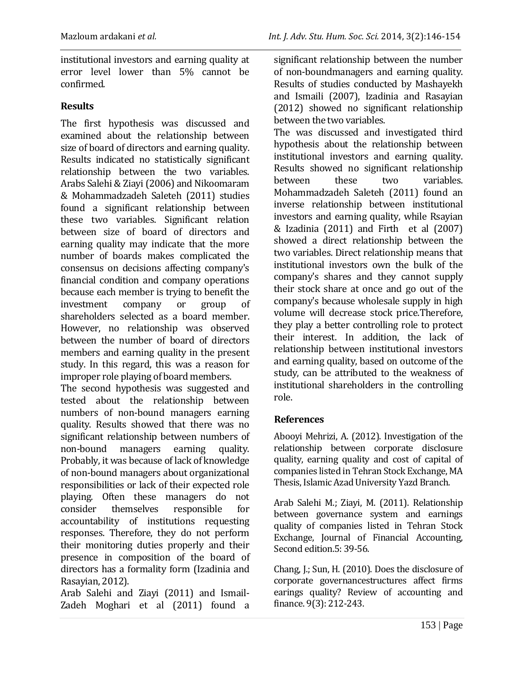institutional investors and earning quality at error level lower than 5% cannot be confirmed.

# **Results**

The first hypothesis was discussed and examined about the relationship between size of board of directors and earning quality. Results indicated no statistically significant relationship between the two variables. Arabs Salehi & Ziayi(2006) and Nikoomaram & Mohammadzadeh Saleteh (2011) studies found a significant relationship between these two variables. Significant relation between size of board of directors and earning quality may indicate that the more number of boards makes complicated the consensus on decisions affecting company's financial condition and company operations because each member is trying to benefit the investment company or group of shareholders selected as a board member. However, no relationship was observed between the number of board of directors members and earning quality in the present study. In this regard, this was a reason for improper role playing of board members.

The second hypothesis was suggested and tested about the relationship between numbers of non-bound managers earning quality. Results showed that there was no significant relationship between numbers of non-bound managers earning quality. Probably, it was because of lack of knowledge of non-bound managers about organizational responsibilities or lack of their expected role playing. Often these managers do not consider themselves responsible for accountability of institutions requesting responses. Therefore, they do not perform their monitoring duties properly and their presence in composition of the board of directors has a formality form (Izadinia and Rasayian, 2012).

Arab Salehi and Ziayi (2011) and Ismail-Zadeh Moghari et al (2011) found a significant relationship between the number of non-boundmanagers and earning quality. Results of studies conducted by Mashayekh and Ismaili (2007), Izadinia and Rasayian (2012) showed no significant relationship between the two variables.

The was discussed and investigated third hypothesis about the relationship between institutional investors and earning quality. Results showed no significant relationship between these two variables. Mohammadzadeh Saleteh (2011) found an inverse relationship between institutional investors and earning quality, while Rsayian & Izadinia (2011) and Firth et al (2007) showed a direct relationship between the two variables. Direct relationship means that institutional investors own the bulk of the company's shares and they cannot supply their stock share at once and go out of the company's because wholesale supply in high volume will decrease stock price.Therefore, they play a better controlling role to protect their interest. In addition, the lack of relationship between institutional investors and earning quality, based on outcome of the study, can be attributed to the weakness of institutional shareholders in the controlling role.

## **References**

Abooyi Mehrizi, A. (2012). Investigation of the relationship between corporate disclosure quality, earning quality and cost of capital of companies listed in Tehran Stock Exchange, MA Thesis, Islamic Azad University Yazd Branch.

Arab Salehi M.; Ziayi, M. (2011). Relationship between governance system and earnings quality of companies listed in Tehran Stock Exchange, Journal of Financial Accounting, Second edition.5: 39-56.

Chang, J.; Sun, H. (2010). Does the disclosure of corporate governancestructures affect firms earings quality? Review of accounting and finance. 9(3): 212-243.